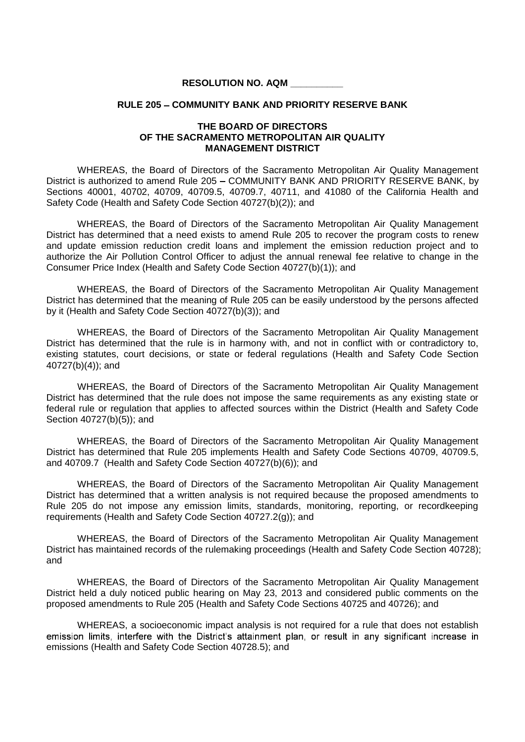## **RESOLUTION NO. AQM \_\_\_\_\_\_\_\_\_\_**

## **RULE 205 COMMUNITY BANK AND PRIORITY RESERVE BANK**

## **THE BOARD OF DIRECTORS OF THE SACRAMENTO METROPOLITAN AIR QUALITY MANAGEMENT DISTRICT**

WHEREAS, the Board of Directors of the Sacramento Metropolitan Air Quality Management District is authorized to amend Rule 205 - COMMUNITY BANK AND PRIORITY RESERVE BANK, by Sections 40001, 40702, 40709, 40709.5, 40709.7, 40711, and 41080 of the California Health and Safety Code (Health and Safety Code Section 40727(b)(2)); and

WHEREAS, the Board of Directors of the Sacramento Metropolitan Air Quality Management District has determined that a need exists to amend Rule 205 to recover the program costs to renew and update emission reduction credit loans and implement the emission reduction project and to authorize the Air Pollution Control Officer to adjust the annual renewal fee relative to change in the Consumer Price Index (Health and Safety Code Section 40727(b)(1)); and

WHEREAS, the Board of Directors of the Sacramento Metropolitan Air Quality Management District has determined that the meaning of Rule 205 can be easily understood by the persons affected by it (Health and Safety Code Section 40727(b)(3)); and

WHEREAS, the Board of Directors of the Sacramento Metropolitan Air Quality Management District has determined that the rule is in harmony with, and not in conflict with or contradictory to, existing statutes, court decisions, or state or federal regulations (Health and Safety Code Section 40727(b)(4)); and

WHEREAS, the Board of Directors of the Sacramento Metropolitan Air Quality Management District has determined that the rule does not impose the same requirements as any existing state or federal rule or regulation that applies to affected sources within the District (Health and Safety Code Section 40727(b)(5)); and

WHEREAS, the Board of Directors of the Sacramento Metropolitan Air Quality Management District has determined that Rule 205 implements Health and Safety Code Sections 40709, 40709.5, and 40709.7 (Health and Safety Code Section 40727(b)(6)); and

WHEREAS, the Board of Directors of the Sacramento Metropolitan Air Quality Management District has determined that a written analysis is not required because the proposed amendments to Rule 205 do not impose any emission limits, standards, monitoring, reporting, or recordkeeping requirements (Health and Safety Code Section 40727.2(g)); and

WHEREAS, the Board of Directors of the Sacramento Metropolitan Air Quality Management District has maintained records of the rulemaking proceedings (Health and Safety Code Section 40728); and

WHEREAS, the Board of Directors of the Sacramento Metropolitan Air Quality Management District held a duly noticed public hearing on May 23, 2013 and considered public comments on the proposed amendments to Rule 205 (Health and Safety Code Sections 40725 and 40726); and

WHEREAS, a socioeconomic impact analysis is not required for a rule that does not establish emission limits, interfere with the District's attainment plan, or result in any significant increase in emissions (Health and Safety Code Section 40728.5); and